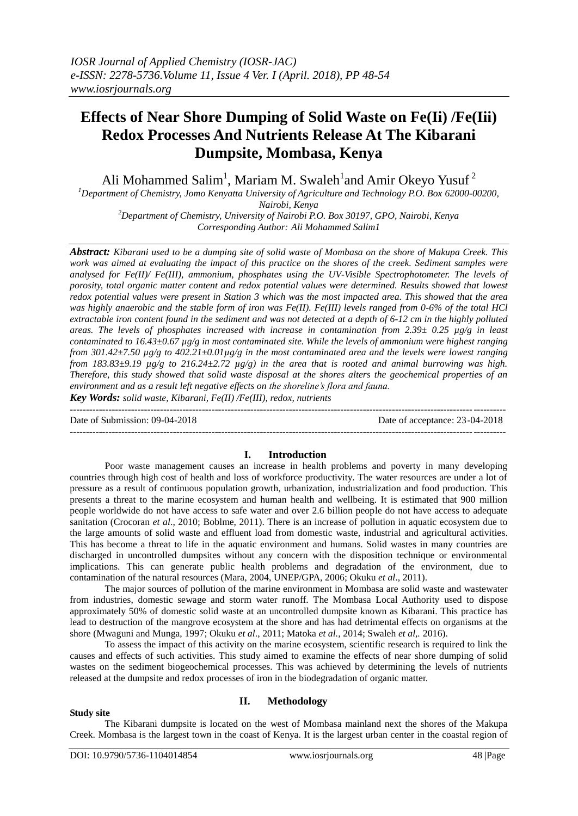# **Effects of Near Shore Dumping of Solid Waste on Fe(Ii) /Fe(Iii) Redox Processes And Nutrients Release At The Kibarani Dumpsite, Mombasa, Kenya**

Ali Mohammed Salim<sup>1</sup>, Mariam M. Swaleh<sup>1</sup>and Amir Okeyo Yusuf<sup>2</sup>

*<sup>1</sup>Department of Chemistry, Jomo Kenyatta University of Agriculture and Technology P.O. Box 62000-00200, Nairobi, Kenya*

*<sup>2</sup>Department of Chemistry, University of Nairobi P.O. Box 30197, GPO, Nairobi, Kenya Corresponding Author: Ali Mohammed Salim1*

*Abstract: Kibarani used to be a dumping site of solid waste of Mombasa on the shore of Makupa Creek. This work was aimed at evaluating the impact of this practice on the shores of the creek. Sediment samples were analysed for Fe(II)/ Fe(III), ammonium, phosphates using the UV-Visible Spectrophotometer. The levels of porosity, total organic matter content and redox potential values were determined. Results showed that lowest redox potential values were present in Station 3 which was the most impacted area. This showed that the area was highly anaerobic and the stable form of iron was Fe(II). Fe(III) levels ranged from 0-6% of the total HCl extractable iron content found in the sediment and was not detected at a depth of 6-12 cm in the highly polluted areas. The levels of phosphates increased with increase in contamination from 2.39± 0.25 µg/g in least contaminated to 16.43±0.67 µg/g in most contaminated site. While the levels of ammonium were highest ranging from 301.42±7.50 µg/g to 402.21±0.01µg/g in the most contaminated area and the levels were lowest ranging from 183.83±9.19 µg/g to 216.24±2.72 µg/g) in the area that is rooted and animal burrowing was high. Therefore, this study showed that solid waste disposal at the shores alters the geochemical properties of an environment and as a result left negative effects on the shoreline's flora and fauna.* 

*Key Words: solid waste, Kibarani, Fe(II) /Fe(III), redox, nutrients* **---------------------------------------------------------------------------------------------------------------------------------------**

Date of Submission: 09-04-2018 Date of acceptance: 23-04-2018

## **I. Introduction**

**---------------------------------------------------------------------------------------------------------------------------------------**

Poor waste management causes an increase in health problems and poverty in many developing countries through high cost of health and loss of workforce productivity. The water resources are under a lot of pressure as a result of continuous population growth, urbanization, industrialization and food production. This presents a threat to the marine ecosystem and human health and wellbeing. It is estimated that 900 million people worldwide do not have access to safe water and over 2.6 billion people do not have access to adequate sanitation (Crocoran *et al*., 2010; Boblme, 2011). There is an increase of pollution in aquatic ecosystem due to the large amounts of solid waste and effluent load from domestic waste, industrial and agricultural activities. This has become a threat to life in the aquatic environment and humans. Solid wastes in many countries are discharged in uncontrolled dumpsites without any concern with the disposition technique or environmental implications. This can generate public health problems and degradation of the environment, due to contamination of the natural resources (Mara, 2004, UNEP/GPA, 2006; Okuku *et al*., 2011).

The major sources of pollution of the marine environment in Mombasa are solid waste and wastewater from industries, domestic sewage and storm water runoff. The Mombasa Local Authority used to dispose approximately 50% of domestic solid waste at an uncontrolled dumpsite known as Kibarani. This practice has lead to destruction of the mangrove ecosystem at the shore and has had detrimental effects on organisms at the shore (Mwaguni and Munga, 1997; Okuku *et al*., 2011; Matoka *et al.,* 2014; Swaleh *et al,.* 2016).

To assess the impact of this activity on the marine ecosystem, scientific research is required to link the causes and effects of such activities. This study aimed to examine the effects of near shore dumping of solid wastes on the sediment biogeochemical processes. This was achieved by determining the levels of nutrients released at the dumpsite and redox processes of iron in the biodegradation of organic matter.

#### **Study site**

## **II. Methodology**

The Kibarani dumpsite is located on the west of Mombasa mainland next the shores of the Makupa Creek. Mombasa is the largest town in the coast of Kenya. It is the largest urban center in the coastal region of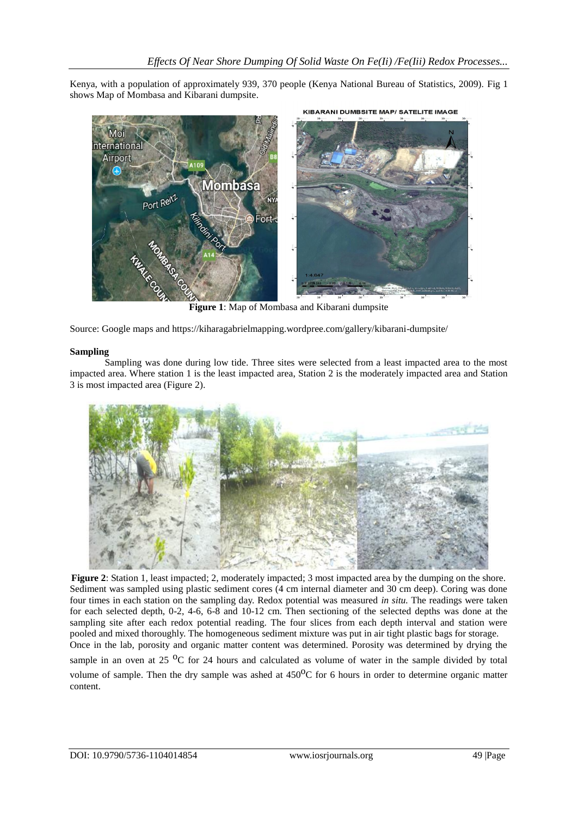Kenya, with a population of approximately 939, 370 people (Kenya National Bureau of Statistics, 2009). Fig 1 shows Map of Mombasa and Kibarani dumpsite.



**Figure 1**: Map of Mombasa and Kibarani dumpsite

Source: Google maps and https://kiharagabrielmapping.wordpree.com/gallery/kibarani-dumpsite/

## **Sampling**

Sampling was done during low tide. Three sites were selected from a least impacted area to the most impacted area. Where station 1 is the least impacted area, Station 2 is the moderately impacted area and Station 3 is most impacted area (Figure 2).



**Figure 2**: Station 1, least impacted; 2, moderately impacted; 3 most impacted area by the dumping on the shore. Sediment was sampled using plastic sediment cores (4 cm internal diameter and 30 cm deep). Coring was done four times in each station on the sampling day. Redox potential was measured *in situ.* The readings were taken for each selected depth, 0-2, 4-6, 6-8 and 10-12 cm. Then sectioning of the selected depths was done at the sampling site after each redox potential reading. The four slices from each depth interval and station were pooled and mixed thoroughly. The homogeneous sediment mixture was put in air tight plastic bags for storage. Once in the lab, porosity and organic matter content was determined. Porosity was determined by drying the sample in an oven at 25  $^{\circ}$ C for 24 hours and calculated as volume of water in the sample divided by total volume of sample. Then the dry sample was ashed at  $450^{\circ}$ C for 6 hours in order to determine organic matter content.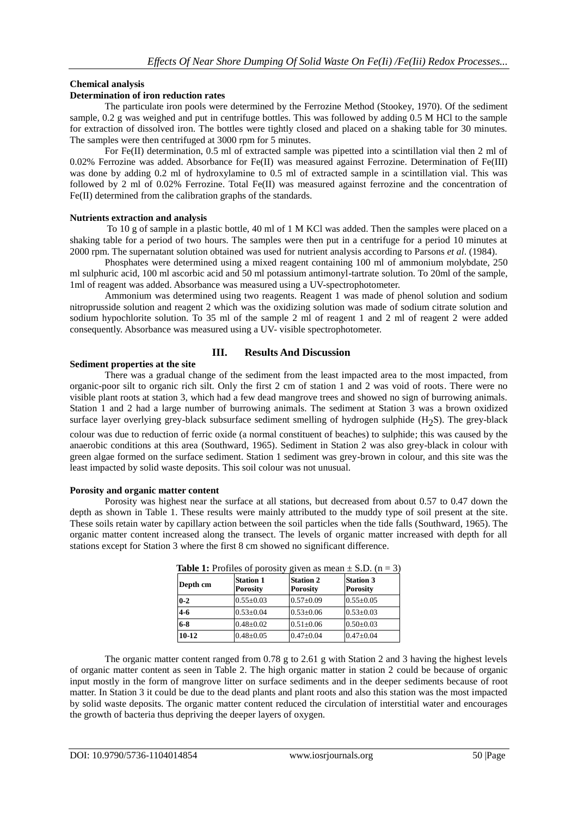## **Chemical analysis**

## **Determination of iron reduction rates**

The particulate iron pools were determined by the Ferrozine Method (Stookey, 1970). Of the sediment sample, 0.2 g was weighed and put in centrifuge bottles. This was followed by adding 0.5 M HCl to the sample for extraction of dissolved iron. The bottles were tightly closed and placed on a shaking table for 30 minutes. The samples were then centrifuged at 3000 rpm for 5 minutes.

For Fe(II) determination, 0.5 ml of extracted sample was pipetted into a scintillation vial then 2 ml of 0.02% Ferrozine was added. Absorbance for Fe(II) was measured against Ferrozine. Determination of Fe(III) was done by adding 0.2 ml of hydroxylamine to 0.5 ml of extracted sample in a scintillation vial. This was followed by 2 ml of 0.02% Ferrozine. Total Fe(II) was measured against ferrozine and the concentration of Fe(II) determined from the calibration graphs of the standards.

### **Nutrients extraction and analysis**

To 10 g of sample in a plastic bottle, 40 ml of 1 M KCl was added. Then the samples were placed on a shaking table for a period of two hours. The samples were then put in a centrifuge for a period 10 minutes at 2000 rpm. The supernatant solution obtained was used for nutrient analysis according to Parsons *et al*. (1984).

Phosphates were determined using a mixed reagent containing 100 ml of ammonium molybdate, 250 ml sulphuric acid, 100 ml ascorbic acid and 50 ml potassium antimonyl-tartrate solution. To 20ml of the sample, 1ml of reagent was added. Absorbance was measured using a UV-spectrophotometer.

Ammonium was determined using two reagents. Reagent 1 was made of phenol solution and sodium nitroprusside solution and reagent 2 which was the oxidizing solution was made of sodium citrate solution and sodium hypochlorite solution. To 35 ml of the sample 2 ml of reagent 1 and 2 ml of reagent 2 were added consequently. Absorbance was measured using a UV- visible spectrophotometer.

## **III. Results And Discussion**

## **Sediment properties at the site**

There was a gradual change of the sediment from the least impacted area to the most impacted, from organic-poor silt to organic rich silt. Only the first 2 cm of station 1 and 2 was void of roots. There were no visible plant roots at station 3, which had a few dead mangrove trees and showed no sign of burrowing animals. Station 1 and 2 had a large number of burrowing animals. The sediment at Station 3 was a brown oxidized surface layer overlying grey-black subsurface sediment smelling of hydrogen sulphide  $(H_2S)$ . The grey-black

colour was due to reduction of ferric oxide (a normal constituent of beaches) to sulphide; this was caused by the anaerobic conditions at this area (Southward, 1965). Sediment in Station 2 was also grey-black in colour with green algae formed on the surface sediment. Station 1 sediment was grey-brown in colour, and this site was the least impacted by solid waste deposits. This soil colour was not unusual.

### **Porosity and organic matter content**

Porosity was highest near the surface at all stations, but decreased from about 0.57 to 0.47 down the depth as shown in Table 1. These results were mainly attributed to the muddy type of soil present at the site. These soils retain water by capillary action between the soil particles when the tide falls (Southward, 1965). The organic matter content increased along the transect. The levels of organic matter increased with depth for all stations except for Station 3 where the first 8 cm showed no significant difference.

| Depth cm | <b>Station 1</b><br><b>Porosity</b> | <b>Station 2</b><br><b>Porosity</b> | <b>Station 3</b><br><b>Porosity</b> |  |
|----------|-------------------------------------|-------------------------------------|-------------------------------------|--|
| $0 - 2$  | $0.55 \pm 0.03$                     | $0.57 \pm 0.09$                     | $0.55 \pm 0.05$                     |  |
| $4 - 6$  | $0.53 \pm 0.04$                     | $0.53 \pm 0.06$                     | $0.53 \pm 0.03$                     |  |
| $6 - 8$  | $0.48 \pm 0.02$                     | $0.51 \pm 0.06$                     | $0.50 \pm 0.03$                     |  |
| 10-12    | $0.48 \pm 0.05$                     | $0.47 + 0.04$                       | $0.47 \pm 0.04$                     |  |

**Table 1:** Profiles of porosity given as mean  $+$  S.D.  $(n-3)$ 

The organic matter content ranged from 0.78 g to 2.61 g with Station 2 and 3 having the highest levels of organic matter content as seen in Table 2. The high organic matter in station 2 could be because of organic input mostly in the form of mangrove litter on surface sediments and in the deeper sediments because of root matter. In Station 3 it could be due to the dead plants and plant roots and also this station was the most impacted by solid waste deposits. The organic matter content reduced the circulation of interstitial water and encourages the growth of bacteria thus depriving the deeper layers of oxygen.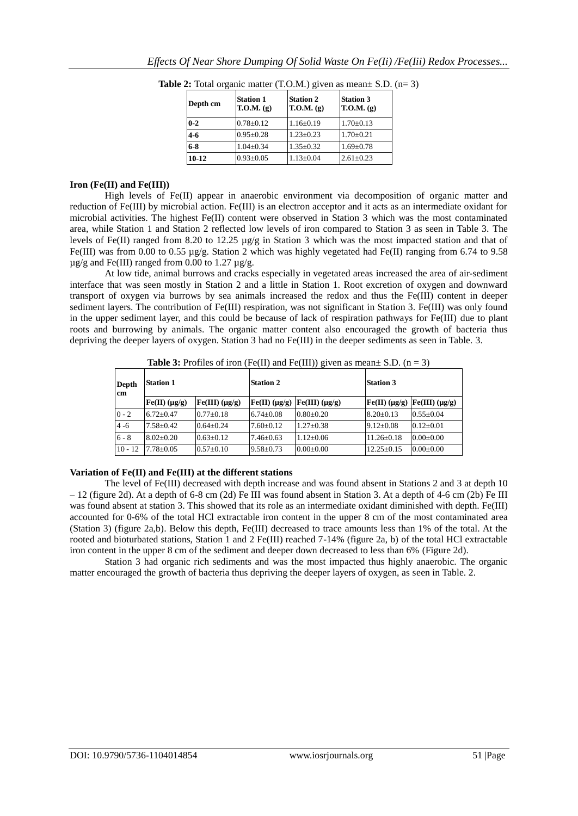| Depth cm  | <b>Station 1</b><br>$T.O.M.$ (g) | <b>Station 2</b><br>T.O.M. (g) | <b>Station 3</b><br>T.O.M. (g) |
|-----------|----------------------------------|--------------------------------|--------------------------------|
| $0 - 2$   | $0.78 \pm 0.12$                  | $1.16 \pm 0.19$                | $1.70 \pm 0.13$                |
| $4 - 6$   | $0.95 \pm 0.28$                  | $1.23 \pm 0.23$                | $1.70 \pm 0.21$                |
| $6 - 8$   | $1.04 \pm 0.34$                  | $1.35 \pm 0.32$                | $1.69 \pm 0.78$                |
| $10 - 12$ | $0.93 \pm 0.05$                  | $1.13 \pm 0.04$                | $2.61 \pm 0.23$                |

**Table 2:** Total organic matter  $(T.O.M.)$  given as mean $\pm$  S.D.  $(n=3)$ 

## **Iron (Fe(II) and Fe(III))**

High levels of Fe(II) appear in anaerobic environment via decomposition of organic matter and reduction of Fe(III) by microbial action. Fe(III) is an electron acceptor and it acts as an intermediate oxidant for microbial activities. The highest Fe(II) content were observed in Station 3 which was the most contaminated area, while Station 1 and Station 2 reflected low levels of iron compared to Station 3 as seen in Table 3. The levels of Fe(II) ranged from 8.20 to 12.25 µg/g in Station 3 which was the most impacted station and that of Fe(III) was from 0.00 to 0.55 µg/g. Station 2 which was highly vegetated had Fe(II) ranging from 6.74 to 9.58  $\mu$ g/g and Fe(III) ranged from 0.00 to 1.27  $\mu$ g/g.

At low tide, animal burrows and cracks especially in vegetated areas increased the area of air-sediment interface that was seen mostly in Station 2 and a little in Station 1. Root excretion of oxygen and downward transport of oxygen via burrows by sea animals increased the redox and thus the Fe(III) content in deeper sediment layers. The contribution of Fe(III) respiration, was not significant in Station 3. Fe(III) was only found in the upper sediment layer, and this could be because of lack of respiration pathways for Fe(III) due to plant roots and burrowing by animals. The organic matter content also encouraged the growth of bacteria thus depriving the deeper layers of oxygen. Station 3 had no Fe(III) in the deeper sediments as seen in Table. 3.

| <b>Rabit 3.</b> Fromes of from $(1 \text{ C(H)}$ and $1 \text{ C(H)}$ given as mean b.D. $(n-3)$ |                  |                        |                     |                        |                  |                                           |
|--------------------------------------------------------------------------------------------------|------------------|------------------------|---------------------|------------------------|------------------|-------------------------------------------|
| Depth<br>lcm                                                                                     | <b>Station 1</b> |                        | <b>Station 2</b>    |                        | <b>Station 3</b> |                                           |
|                                                                                                  | $Fe(II)$ (µg/g)  | $Fe(III)$ ( $\mu$ g/g) | $[Fe(II)(\mu g/g)]$ | $Fe(III)$ ( $\mu$ g/g) |                  | $[Fe(II) (\mu g/g)$ $[Fe(III) (\mu g/g)]$ |
| $0 - 2$                                                                                          | $6.72 + 0.47$    | $0.77 \pm 0.18$        | $6.74 \pm 0.08$     | $0.80 \pm 0.20$        | $8.20 \pm 0.13$  | $0.55+0.04$                               |
| $4 - 6$                                                                                          | $7.58 + 0.42$    | $0.64 + 0.24$          | $7.60 \pm 0.12$     | $1.27 \pm 0.38$        | $9.12 \pm 0.08$  | $0.12+0.01$                               |
| $6 - 8$                                                                                          | $8.02 + 0.20$    | $0.63 \pm 0.12$        | $7.46 \pm 0.63$     | $1.12 \pm 0.06$        | $11.26 \pm 0.18$ | $0.00 \pm 0.00$                           |
| $10 - 12$                                                                                        | $7.78 + 0.05$    | $0.57 \pm 0.10$        | $9.58 \pm 0.73$     | $0.00 \pm 0.00$        | $12.25 \pm 0.15$ | $0.00 \pm 0.00$                           |

**Table 3:** Profiles of iron (Fe(II) and  $Fe(HI)$ ) given as mean+  $SD(n-3)$ 

## **Variation of Fe(II) and Fe(III) at the different stations**

The level of Fe(III) decreased with depth increase and was found absent in Stations 2 and 3 at depth 10 – 12 (figure 2d). At a depth of 6-8 cm (2d) Fe III was found absent in Station 3. At a depth of 4-6 cm (2b) Fe III was found absent at station 3. This showed that its role as an intermediate oxidant diminished with depth. Fe(III) accounted for 0-6% of the total HCl extractable iron content in the upper 8 cm of the most contaminated area (Station 3) (figure 2a,b). Below this depth, Fe(III) decreased to trace amounts less than 1% of the total. At the rooted and bioturbated stations, Station 1 and 2 Fe(III) reached 7-14% (figure 2a, b) of the total HCl extractable iron content in the upper 8 cm of the sediment and deeper down decreased to less than 6% (Figure 2d).

Station 3 had organic rich sediments and was the most impacted thus highly anaerobic. The organic matter encouraged the growth of bacteria thus depriving the deeper layers of oxygen, as seen in Table. 2.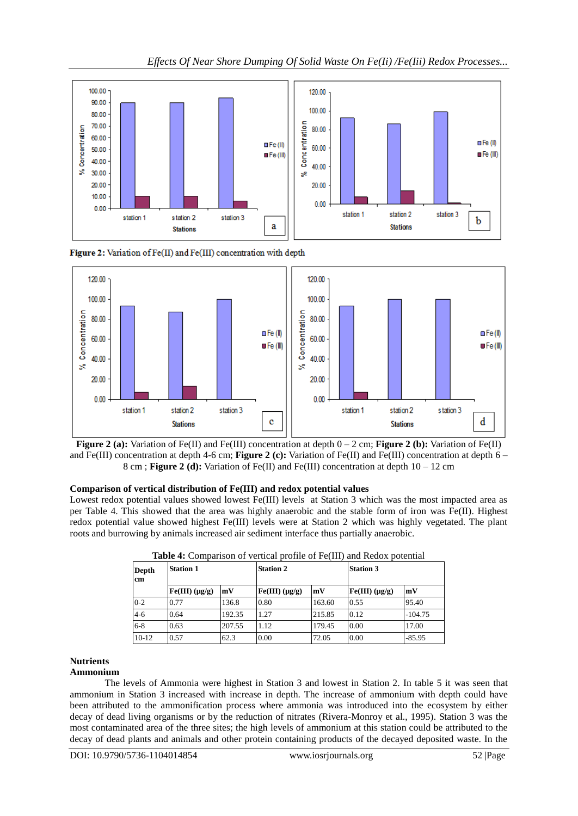



Figure 2: Variation of Fe(II) and Fe(III) concentration with depth



## **Comparison of vertical distribution of Fe(III) and redox potential values**

Lowest redox potential values showed lowest Fe(III) levels at Station 3 which was the most impacted area as per Table 4. This showed that the area was highly anaerobic and the stable form of iron was Fe(II). Highest redox potential value showed highest Fe(III) levels were at Station 2 which was highly vegetated. The plant roots and burrowing by animals increased air sediment interface thus partially anaerobic.

| <b>Depth</b><br>cm | <b>Station 1</b> |        | <b>Station 2</b> |        | <b>Station 3</b>       |           |
|--------------------|------------------|--------|------------------|--------|------------------------|-----------|
|                    | $Fe(III)$ (µg/g) | mV     | $Fe(III)$ (µg/g) | mV     | $Fe(III)$ ( $\mu$ g/g) | mV        |
| $0 - 2$            | 0.77             | 136.8  | 0.80             | 163.60 | 0.55                   | 95.40     |
| $4 - 6$            | 0.64             | 192.35 | 1.27             | 215.85 | 0.12                   | $-104.75$ |
| $6 - 8$            | 0.63             | 207.55 | 1.12             | 179.45 | 0.00                   | 17.00     |
| $10-12$            | 0.57             | 62.3   | 0.00             | 72.05  | 0.00                   | $-85.95$  |

**Table 4:** Comparison of vertical profile of Fe(III) and Redox potential

# **Nutrients**

# **Ammonium**

The levels of Ammonia were highest in Station 3 and lowest in Station 2. In table 5 it was seen that ammonium in Station 3 increased with increase in depth. The increase of ammonium with depth could have been attributed to the ammonification process where ammonia was introduced into the ecosystem by either decay of dead living organisms or by the reduction of nitrates (Rivera-Monroy et al., 1995). Station 3 was the most contaminated area of the three sites; the high levels of ammonium at this station could be attributed to the decay of dead plants and animals and other protein containing products of the decayed deposited waste. In the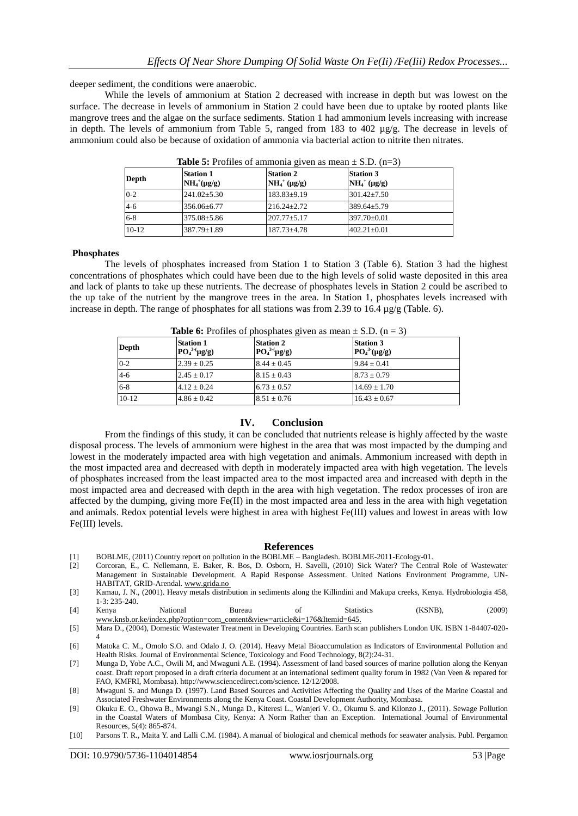deeper sediment, the conditions were anaerobic.

While the levels of ammonium at Station 2 decreased with increase in depth but was lowest on the surface. The decrease in levels of ammonium in Station 2 could have been due to uptake by rooted plants like mangrove trees and the algae on the surface sediments. Station 1 had ammonium levels increasing with increase in depth. The levels of ammonium from Table 5, ranged from 183 to 402  $\mu$ g/g. The decrease in levels of ammonium could also be because of oxidation of ammonia via bacterial action to nitrite then nitrates.

| Depth   | <b>Station 1</b><br>$NH4+(\mu g/g)$ | <b>Station 2</b><br>$NH_4^+(\mu g/g)$ | <b>Station 3</b><br>$NH_4^+$ (µg/g) |  |
|---------|-------------------------------------|---------------------------------------|-------------------------------------|--|
| $0 - 2$ | $241.02 \pm 5.30$                   | $183.83 \pm 9.19$                     | $301.42 \pm 7.50$                   |  |
| $4 - 6$ | 356.06±6.77                         | $216.24 + 2.72$                       | $389.64 \pm 5.79$                   |  |
| $6 - 8$ | $375.08 \pm 5.86$                   | $207.77 \pm 5.17$                     | $397.70 \pm 0.01$                   |  |
| $10-12$ | 387.79±1.89                         | $187.73 \pm 4.78$                     | $402.21 \pm 0.01$                   |  |

**Table 5:** Profiles of ammonia given as mean  $\pm$  S.D.  $(n-3)$ 

#### **Phosphates**

The levels of phosphates increased from Station 1 to Station 3 (Table 6). Station 3 had the highest concentrations of phosphates which could have been due to the high levels of solid waste deposited in this area and lack of plants to take up these nutrients. The decrease of phosphates levels in Station 2 could be ascribed to the up take of the nutrient by the mangrove trees in the area. In Station 1, phosphates levels increased with increase in depth. The range of phosphates for all stations was from 2.39 to 16.4  $\mu$ g/g (Table. 6).

| <b>Table 6:</b> Profiles of phosphates given as mean $\pm$ S.D. (n = 3) |                                     |                                     |                                     |  |
|-------------------------------------------------------------------------|-------------------------------------|-------------------------------------|-------------------------------------|--|
| Depth                                                                   | <b>Station 1</b><br>$PO43-(\mug/g)$ | <b>Station 2</b><br>$PO43-(\mug/g)$ | <b>Station 3</b><br>$PO43(\mu g/g)$ |  |
| $0 - 2$                                                                 | $2.39 \pm 0.25$                     | $8.44 \pm 0.45$                     | $9.84 \pm 0.41$                     |  |
| $4 - 6$                                                                 | $2.45 \pm 0.17$                     | $8.15 \pm 0.43$                     | $8.73 \pm 0.79$                     |  |
| $6 - 8$                                                                 | $4.12 \pm 0.24$                     | $6.73 \pm 0.57$                     | $14.69 \pm 1.70$                    |  |
| $10-12$                                                                 | $4.86 \pm 0.42$                     | $8.51 \pm 0.76$                     | $16.43 \pm 0.67$                    |  |

### **IV. Conclusion**

From the findings of this study, it can be concluded that nutrients release is highly affected by the waste disposal process. The levels of ammonium were highest in the area that was most impacted by the dumping and lowest in the moderately impacted area with high vegetation and animals. Ammonium increased with depth in the most impacted area and decreased with depth in moderately impacted area with high vegetation. The levels of phosphates increased from the least impacted area to the most impacted area and increased with depth in the most impacted area and decreased with depth in the area with high vegetation. The redox processes of iron are affected by the dumping, giving more  $Fe(II)$  in the most impacted area and less in the area with high vegetation and animals. Redox potential levels were highest in area with highest Fe(III) values and lowest in areas with low Fe(III) levels.

#### **References**

- [1] BOBLME, (2011) Country report on pollution in the BOBLME Bangladesh. BOBLME-2011-Ecology-01.
- [2] Corcoran, E., C. Nellemann, E. Baker, R. Bos, D. Osborn, H. Savelli, (2010) Sick Water? The Central Role of Wastewater Management in Sustainable Development. A Rapid Response Assessment. United Nations Environment Programme, UN-HABITAT, GRID-Arendal[. www.grida.no](http://www.grida.no/)
- [3] Kamau, J. N., (2001). Heavy metals distribution in sediments along the Killindini and Makupa creeks, Kenya. Hydrobiologia 458, 1-3: 235-240.
- [4] Kenya National Bureau of Statistics (KSNB), (2009) [www.knsb.or.ke/index.php?option=com\\_content&view=article&i=176&Itemid=645.](http://www.knsb.or.ke/index.php?option=com_content&view=article&i=176&Itemid=645)
- [5] Mara D., (2004), Domestic Wastewater Treatment in Developing Countries. Earth scan publishers London UK. ISBN 1-84407-020- 4
- [6] Matoka C. M., Omolo S.O. and Odalo J. O. (2014). Heavy Metal Bioaccumulation as Indicators of Environmental Pollution and Health Risks. Journal of Environmental Science, Toxicology and Food Technology, 8(2):24-31.
- [7] Munga D, Yobe A.C., Owili M, and Mwaguni A.E. (1994). Assessment of land based sources of marine pollution along the Kenyan coast. Draft report proposed in a draft criteria document at an international sediment quality forum in 1982 (Van Veen & repared for FAO, KMFRI, Mombasa). http://www.sciencedirect.com/science. 12/12/2008.
- [8] Mwaguni S. and Munga D. (1997). Land Based Sources and Activities Affecting the Quality and Uses of the Marine Coastal and Associated Freshwater Environments along the Kenya Coast. Coastal Development Authority, Mombasa.
- [9] Okuku E. O., Ohowa B., Mwangi S.N., Munga D., Kiteresi L., Wanjeri V. O., Okumu S. and Kilonzo J., (2011). Sewage Pollution in the Coastal Waters of Mombasa City, Kenya: A Norm Rather than an Exception. International Journal of Environmental Resources, 5(4): 865-874.
- [10] Parsons T. R., Maita Y. and Lalli C.M. (1984). A manual of biological and chemical methods for seawater analysis. Publ. Pergamon